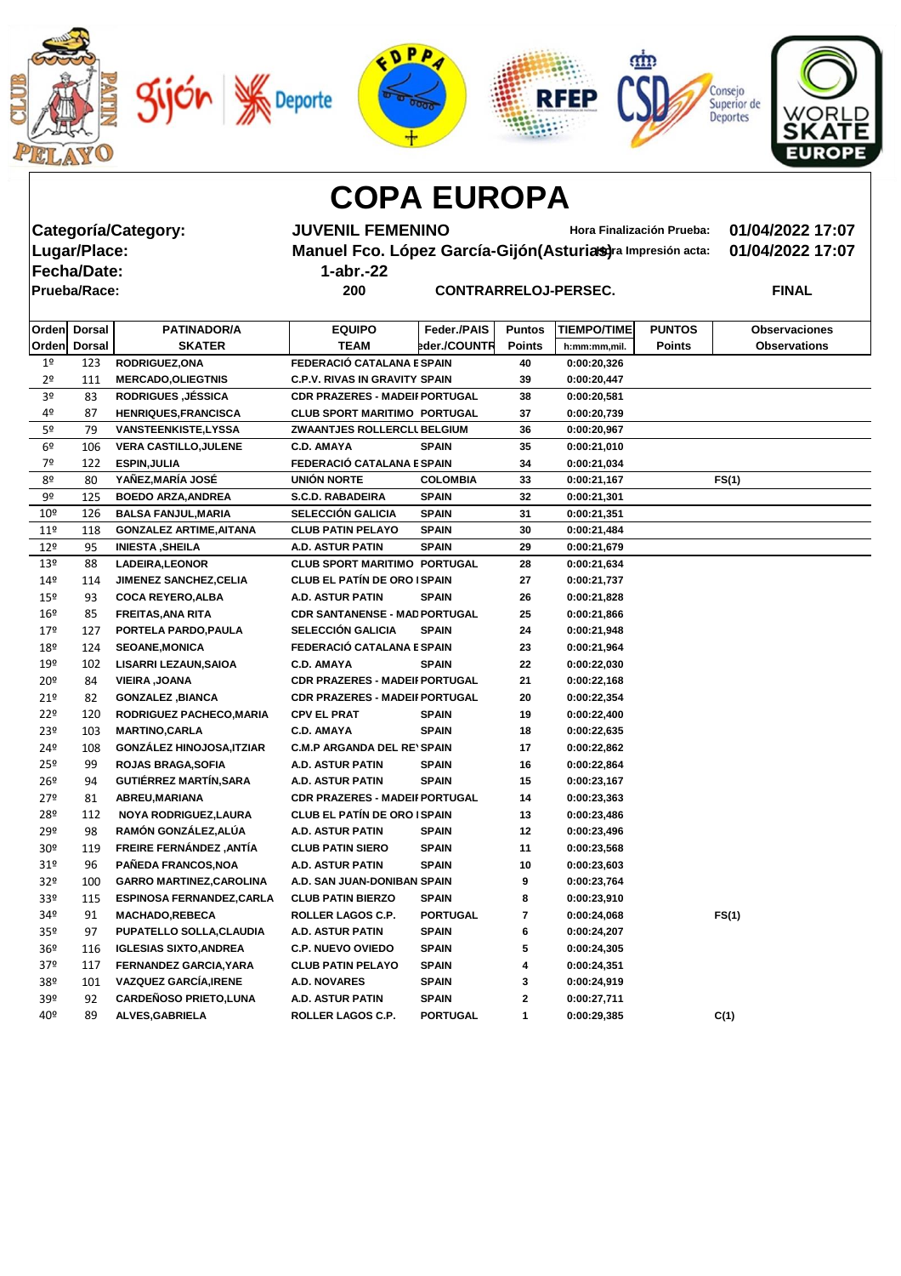|  |  | <b>Deporte</b> |  |
|--|--|----------------|--|
|--|--|----------------|--|









**Fecha/Date: 1-abr.-22**

**Categoría/Category: JUVENIL FEMENINO Hora Finalización Prueba: 01/04/2022 17:07 Manuel Fco. López García-Gijón(Asturias)** ra Impresión acta: 01/04/2022 17:07

**Prueba/Race: 200 CONTRARRELOJ-PERSEC. FINAL**

| Orden Dorsal    |     | <b>PATINADOR/A</b>               | <b>EQUIPO</b>                         | Feder./PAIS     | <b>Puntos</b> | <b>TIEMPO/TIME</b> | <b>PUNTOS</b> | <b>Observaciones</b> |
|-----------------|-----|----------------------------------|---------------------------------------|-----------------|---------------|--------------------|---------------|----------------------|
| Orden Dorsal    |     | <b>SKATER</b>                    | <b>TEAM</b>                           | eder./COUNTR    | <b>Points</b> | h:mm:mm,mil.       | <b>Points</b> | <b>Observations</b>  |
| 1 <sup>o</sup>  | 123 | <b>RODRIGUEZ, ONA</b>            | FEDERACIÓ CATALANA E SPAIN            |                 | 40            | 0:00:20,326        |               |                      |
| 2 <sup>o</sup>  | 111 | <b>MERCADO, OLIEGTNIS</b>        | <b>C.P.V. RIVAS IN GRAVITY SPAIN</b>  |                 | 39            | 0:00:20,447        |               |                      |
| 3 <sup>o</sup>  | 83  | <b>RODRIGUES, JÉSSICA</b>        | <b>CDR PRAZERES - MADEII PORTUGAL</b> |                 | 38            | 0:00:20,581        |               |                      |
| 4º              | 87  | <b>HENRIQUES, FRANCISCA</b>      | <b>CLUB SPORT MARITIMO PORTUGAL</b>   |                 | 37            | 0:00:20,739        |               |                      |
| 5º              | 79  | <b>VANSTEENKISTE,LYSSA</b>       | ZWAANTJES ROLLERCLI BELGIUM           |                 | 36            | 0:00:20,967        |               |                      |
| 6 <sup>9</sup>  | 106 | <b>VERA CASTILLO, JULENE</b>     | <b>C.D. AMAYA</b>                     | <b>SPAIN</b>    | 35            | 0:00:21,010        |               |                      |
| 7º              | 122 | <b>ESPIN, JULIA</b>              | FEDERACIÓ CATALANA E SPAIN            |                 | 34            | 0:00:21,034        |               |                      |
| 8º              | 80  | YAÑEZ,MARÍA JOSÉ                 | <b>UNIÓN NORTE</b>                    | <b>COLOMBIA</b> | 33            | 0:00:21,167        |               | FS(1)                |
| 9º              | 125 | <b>BOEDO ARZA, ANDREA</b>        | <b>S.C.D. RABADEIRA</b>               | <b>SPAIN</b>    | 32            | 0:00:21,301        |               |                      |
| 10 <sup>°</sup> | 126 | <b>BALSA FANJUL, MARIA</b>       | <b>SELECCIÓN GALICIA</b>              | <b>SPAIN</b>    | 31            | 0:00:21,351        |               |                      |
| 11 <sup>°</sup> | 118 | <b>GONZALEZ ARTIME, AITANA</b>   | <b>CLUB PATIN PELAYO</b>              | <b>SPAIN</b>    | 30            | 0:00:21,484        |               |                      |
| $12^{\circ}$    | 95  | <b>INIESTA, SHEILA</b>           | <b>A.D. ASTUR PATIN</b>               | <b>SPAIN</b>    | 29            | 0:00:21,679        |               |                      |
| 13 <sup>°</sup> | 88  | <b>LADEIRA, LEONOR</b>           | <b>CLUB SPORT MARITIMO PORTUGAL</b>   |                 | 28            | 0:00:21,634        |               |                      |
| 14 <sup>°</sup> | 114 | <b>JIMENEZ SANCHEZ, CELIA</b>    | <b>CLUB EL PATÍN DE ORO ISPAIN</b>    |                 | 27            | 0:00:21,737        |               |                      |
| 15º             | 93  | <b>COCA REYERO, ALBA</b>         | <b>A.D. ASTUR PATIN</b>               | <b>SPAIN</b>    | 26            | 0:00:21,828        |               |                      |
| 16º             | 85  | <b>FREITAS, ANA RITA</b>         | <b>CDR SANTANENSE - MAD PORTUGAL</b>  |                 | 25            | 0:00:21,866        |               |                      |
| 179             | 127 | PORTELA PARDO, PAULA             | <b>SELECCIÓN GALICIA</b>              | <b>SPAIN</b>    | 24            | 0:00:21,948        |               |                      |
| 18º             | 124 | <b>SEOANE, MONICA</b>            | FEDERACIÓ CATALANA E SPAIN            |                 | 23            | 0:00:21,964        |               |                      |
| 19º             | 102 | <b>LISARRI LEZAUN, SAIOA</b>     | <b>C.D. AMAYA</b>                     | <b>SPAIN</b>    | 22            | 0:00:22,030        |               |                      |
| 20º             | 84  | <b>VIEIRA, JOANA</b>             | <b>CDR PRAZERES - MADEII PORTUGAL</b> |                 | 21            | 0:00:22,168        |               |                      |
| 21º             | 82  | <b>GONZALEZ, BIANCA</b>          | <b>CDR PRAZERES - MADEII PORTUGAL</b> |                 | 20            | 0:00:22,354        |               |                      |
| 22º             | 120 | RODRIGUEZ PACHECO, MARIA         | <b>CPV EL PRAT</b>                    | <b>SPAIN</b>    | 19            | 0:00:22,400        |               |                      |
| 23º             | 103 | <b>MARTINO, CARLA</b>            | <b>C.D. AMAYA</b>                     | <b>SPAIN</b>    | 18            | 0:00:22,635        |               |                      |
| 24º             | 108 | <b>GONZÁLEZ HINOJOSA, ITZIAR</b> | <b>C.M.P ARGANDA DEL RE'SPAIN</b>     |                 | 17            | 0:00:22,862        |               |                      |
| 25º             | 99  | <b>ROJAS BRAGA, SOFIA</b>        | A.D. ASTUR PATIN                      | <b>SPAIN</b>    | 16            | 0:00:22,864        |               |                      |
| 26º             | 94  | <b>GUTIÉRREZ MARTÍN, SARA</b>    | <b>A.D. ASTUR PATIN</b>               | <b>SPAIN</b>    | 15            | 0:00:23,167        |               |                      |
| 27º             | 81  | ABREU, MARIANA                   | <b>CDR PRAZERES - MADEII PORTUGAL</b> |                 | 14            | 0:00:23,363        |               |                      |
| 28º             | 112 | NOYA RODRIGUEZ, LAURA            | <b>CLUB EL PATÍN DE ORO ISPAIN</b>    |                 | 13            | 0:00:23,486        |               |                      |
| 29º             | 98  | RAMÓN GONZÁLEZ, ALÚA             | <b>A.D. ASTUR PATIN</b>               | <b>SPAIN</b>    | 12            | 0:00:23,496        |               |                      |
| 30 <sup>°</sup> | 119 | FREIRE FERNÁNDEZ, ANTÍA          | <b>CLUB PATIN SIERO</b>               | <b>SPAIN</b>    | 11            | 0:00:23,568        |               |                      |
| 31 <sup>o</sup> | 96  | PAÑEDA FRANCOS, NOA              | A.D. ASTUR PATIN                      | <b>SPAIN</b>    | 10            | 0:00:23,603        |               |                      |
| 32 <sup>o</sup> | 100 | <b>GARRO MARTINEZ, CAROLINA</b>  | A.D. SAN JUAN-DONIBAN SPAIN           |                 | 9             | 0:00:23,764        |               |                      |
| 33º             | 115 | <b>ESPINOSA FERNANDEZ, CARLA</b> | <b>CLUB PATIN BIERZO</b>              | <b>SPAIN</b>    | 8             | 0:00:23,910        |               |                      |
| 34º             | 91  | <b>MACHADO,REBECA</b>            | ROLLER LAGOS C.P.                     | <b>PORTUGAL</b> | 7             | 0:00:24,068        |               | FS(1)                |
| 35 <sup>o</sup> | 97  | <b>PUPATELLO SOLLA, CLAUDIA</b>  | A.D. ASTUR PATIN                      | <b>SPAIN</b>    | 6             | 0:00:24,207        |               |                      |
| 36º             | 116 | <b>IGLESIAS SIXTO, ANDREA</b>    | <b>C.P. NUEVO OVIEDO</b>              | <b>SPAIN</b>    | 5             | 0:00:24,305        |               |                      |
| 37º             | 117 | <b>FERNANDEZ GARCIA, YARA</b>    | <b>CLUB PATIN PELAYO</b>              | <b>SPAIN</b>    | 4             | 0:00:24,351        |               |                      |
| 38º             | 101 | <b>VAZQUEZ GARCÍA, IRENE</b>     | A.D. NOVARES                          | <b>SPAIN</b>    | 3             | 0:00:24,919        |               |                      |
| 39º             | 92  | <b>CARDEÑOSO PRIETO, LUNA</b>    | A.D. ASTUR PATIN                      | <b>SPAIN</b>    | $\mathbf 2$   | 0:00:27,711        |               |                      |
| 40º             | 89  | <b>ALVES, GABRIELA</b>           | ROLLER LAGOS C.P.                     | <b>PORTUGAL</b> | $\mathbf 1$   | 0:00:29,385        |               | C(1)                 |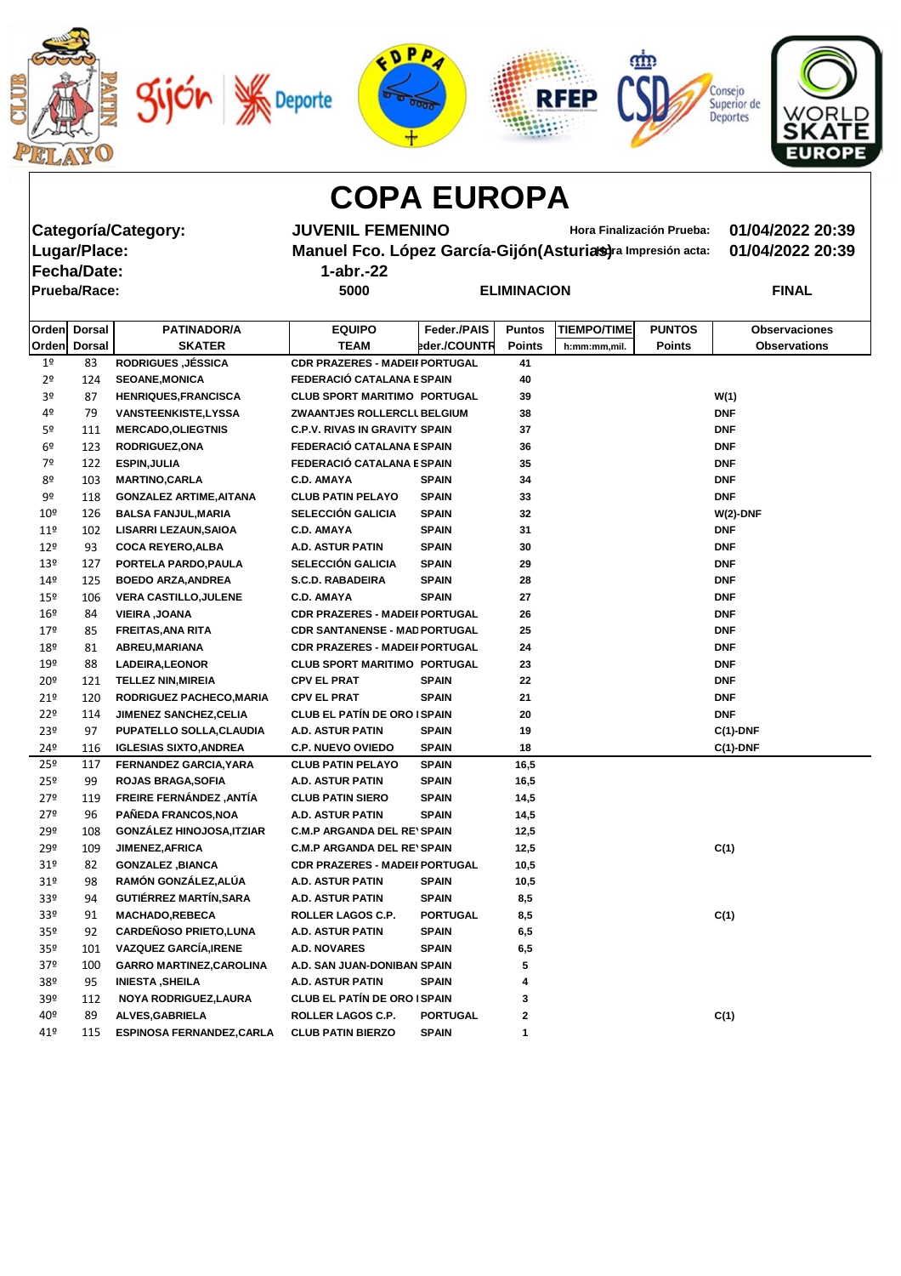









**Fecha/Date: 1-abr.-22**

Categoría/Category: **JUVENIL FEMENINO** Hora Finalización Prueba: 01/04/2022 20:39<br>Lugar/Place: Manuel Fco. López García-Gijón(Asturias)ra Impresión acta: 01/04/2022 20:39 **Manuel Fco. López García-Gijón(Asturias)** ra Impresión acta: 01/04/2022 20:39

| Prueba/Race: | 5000 | <b>ELIMINACION</b> | <b>FINAL</b> |
|--------------|------|--------------------|--------------|

|                 | Orden Dorsal | <b>PATINADOR/A</b>               | <b>EQUIPO</b>                         | Feder./PAIS     | <b>Puntos</b> | <b>TIEMPO/TIME</b> | <b>PUNTOS</b> | <b>Observaciones</b> |
|-----------------|--------------|----------------------------------|---------------------------------------|-----------------|---------------|--------------------|---------------|----------------------|
|                 | Orden Dorsal | <b>SKATER</b>                    | <b>TEAM</b>                           | eder./COUNTR    | <b>Points</b> | h:mm:mm,mil.       | <b>Points</b> | <b>Observations</b>  |
| 1 <sup>o</sup>  | 83           | <b>RODRIGUES, JÉSSICA</b>        | <b>CDR PRAZERES - MADEII PORTUGAL</b> |                 | 41            |                    |               |                      |
| 2 <sup>o</sup>  | 124          | <b>SEOANE, MONICA</b>            | FEDERACIÓ CATALANA E SPAIN            |                 | 40            |                    |               |                      |
| 3º              | 87           | <b>HENRIQUES, FRANCISCA</b>      | <b>CLUB SPORT MARITIMO PORTUGAL</b>   |                 | 39            |                    |               | W(1)                 |
| 4º              | 79           | <b>VANSTEENKISTE,LYSSA</b>       | ZWAANTJES ROLLERCLI BELGIUM           |                 | 38            |                    |               | <b>DNF</b>           |
| 5º              | 111          | <b>MERCADO, OLIEGTNIS</b>        | <b>C.P.V. RIVAS IN GRAVITY SPAIN</b>  |                 | 37            |                    |               | <b>DNF</b>           |
| 6 <sup>°</sup>  | 123          | <b>RODRIGUEZ, ONA</b>            | FEDERACIÓ CATALANA E SPAIN            |                 | 36            |                    |               | <b>DNF</b>           |
| 7º              | 122          | <b>ESPIN, JULIA</b>              | FEDERACIÓ CATALANA E SPAIN            |                 | 35            |                    |               | <b>DNF</b>           |
| 8º              | 103          | <b>MARTINO, CARLA</b>            | <b>C.D. AMAYA</b>                     | <b>SPAIN</b>    | 34            |                    |               | <b>DNF</b>           |
| 9º              | 118          | <b>GONZALEZ ARTIME, AITANA</b>   | <b>CLUB PATIN PELAYO</b>              | <b>SPAIN</b>    | 33            |                    |               | <b>DNF</b>           |
| 10 <sup>°</sup> | 126          | <b>BALSA FANJUL, MARIA</b>       | SELECCIÓN GALICIA                     | <b>SPAIN</b>    | 32            |                    |               | $W(2)$ -DNF          |
| 11 <sup>°</sup> | 102          | <b>LISARRI LEZAUN, SAIOA</b>     | <b>C.D. AMAYA</b>                     | <b>SPAIN</b>    | 31            |                    |               | <b>DNF</b>           |
| 12 <sup>°</sup> | 93           | <b>COCA REYERO, ALBA</b>         | <b>A.D. ASTUR PATIN</b>               | <b>SPAIN</b>    | 30            |                    |               | <b>DNF</b>           |
| 13 <sup>°</sup> | 127          | PORTELA PARDO, PAULA             | <b>SELECCIÓN GALICIA</b>              | <b>SPAIN</b>    | 29            |                    |               | <b>DNF</b>           |
| 14º             | 125          | <b>BOEDO ARZA, ANDREA</b>        | <b>S.C.D. RABADEIRA</b>               | <b>SPAIN</b>    | 28            |                    |               | <b>DNF</b>           |
| 15º             | 106          | <b>VERA CASTILLO, JULENE</b>     | <b>C.D. AMAYA</b>                     | <b>SPAIN</b>    | 27            |                    |               | <b>DNF</b>           |
| 16 <sup>°</sup> | 84           | <b>VIEIRA, JOANA</b>             | <b>CDR PRAZERES - MADEII PORTUGAL</b> |                 | 26            |                    |               | <b>DNF</b>           |
| 179             | 85           | <b>FREITAS, ANA RITA</b>         | <b>CDR SANTANENSE - MAD PORTUGAL</b>  |                 | 25            |                    |               | <b>DNF</b>           |
| 18º             | 81           | ABREU, MARIANA                   | <b>CDR PRAZERES - MADEII PORTUGAL</b> |                 | 24            |                    |               | <b>DNF</b>           |
| 19º             | 88           | LADEIRA, LEONOR                  | <b>CLUB SPORT MARITIMO PORTUGAL</b>   |                 | 23            |                    |               | <b>DNF</b>           |
| 20 <sup>°</sup> | 121          | <b>TELLEZ NIN, MIREIA</b>        | <b>CPV EL PRAT</b>                    | <b>SPAIN</b>    | 22            |                    |               | <b>DNF</b>           |
| 21 <sup>°</sup> | 120          | RODRIGUEZ PACHECO, MARIA         | <b>CPV EL PRAT</b>                    | <b>SPAIN</b>    | 21            |                    |               | <b>DNF</b>           |
| 22 <sup>°</sup> | 114          | <b>JIMENEZ SANCHEZ, CELIA</b>    | <b>CLUB EL PATÍN DE ORO ISPAIN</b>    |                 | 20            |                    |               | <b>DNF</b>           |
| 23º             | 97           | PUPATELLO SOLLA, CLAUDIA         | <b>A.D. ASTUR PATIN</b>               | <b>SPAIN</b>    | 19            |                    |               | $C(1)$ -DNF          |
| 24º             | 116          | <b>IGLESIAS SIXTO, ANDREA</b>    | <b>C.P. NUEVO OVIEDO</b>              | <b>SPAIN</b>    | 18            |                    |               | $C(1)$ -DNF          |
| 25º             | 117          | FERNANDEZ GARCIA, YARA           | <b>CLUB PATIN PELAYO</b>              | <b>SPAIN</b>    | 16,5          |                    |               |                      |
| 25 <sup>°</sup> | 99           | <b>ROJAS BRAGA, SOFIA</b>        | <b>A.D. ASTUR PATIN</b>               | <b>SPAIN</b>    | 16,5          |                    |               |                      |
| 27º             | 119          | FREIRE FERNÁNDEZ, ANTÍA          | <b>CLUB PATIN SIERO</b>               | <b>SPAIN</b>    | 14,5          |                    |               |                      |
| 27º             | 96           | PAÑEDA FRANCOS, NOA              | <b>A.D. ASTUR PATIN</b>               | <b>SPAIN</b>    | 14,5          |                    |               |                      |
| 29º             | 108          | <b>GONZÁLEZ HINOJOSA, ITZIAR</b> | <b>C.M.P ARGANDA DEL RE'SPAIN</b>     |                 | 12,5          |                    |               |                      |
| 29º             | 109          | JIMENEZ, AFRICA                  | <b>C.M.P ARGANDA DEL RE'SPAIN</b>     |                 | 12,5          |                    |               | C(1)                 |
| 31 <sup>°</sup> | 82           | <b>GONZALEZ, BIANCA</b>          | <b>CDR PRAZERES - MADEII PORTUGAL</b> |                 | 10,5          |                    |               |                      |
| 31 <sup>°</sup> | 98           | RAMÓN GONZÁLEZ, ALÚA             | A.D. ASTUR PATIN                      | <b>SPAIN</b>    | 10,5          |                    |               |                      |
| 33 <sup>o</sup> | 94           | <b>GUTIÉRREZ MARTÍN, SARA</b>    | A.D. ASTUR PATIN                      | <b>SPAIN</b>    | 8,5           |                    |               |                      |
| 33 <sup>o</sup> | 91           | <b>MACHADO,REBECA</b>            | ROLLER LAGOS C.P.                     | <b>PORTUGAL</b> | 8,5           |                    |               | C(1)                 |
| 35 <sup>o</sup> | 92           | <b>CARDEÑOSO PRIETO, LUNA</b>    | A.D. ASTUR PATIN                      | <b>SPAIN</b>    | 6,5           |                    |               |                      |
| 35 <sup>o</sup> | 101          | <b>VAZQUEZ GARCÍA, IRENE</b>     | A.D. NOVARES                          | <b>SPAIN</b>    | 6,5           |                    |               |                      |
| 37º             | 100          | <b>GARRO MARTINEZ, CAROLINA</b>  | A.D. SAN JUAN-DONIBAN SPAIN           |                 | 5             |                    |               |                      |
| 38º             | 95           | <b>INIESTA, SHEILA</b>           | A.D. ASTUR PATIN                      | <b>SPAIN</b>    | 4             |                    |               |                      |
| 39 <sup>°</sup> | 112          | NOYA RODRIGUEZ, LAURA            | <b>CLUB EL PATÍN DE ORO ISPAIN</b>    |                 | 3             |                    |               |                      |
| 40º             | 89           | <b>ALVES, GABRIELA</b>           | ROLLER LAGOS C.P.                     | <b>PORTUGAL</b> | 2             |                    |               | C(1)                 |
| 41º             | 115          | <b>ESPINOSA FERNANDEZ, CARLA</b> | <b>CLUB PATIN BIERZO</b>              | <b>SPAIN</b>    | 1             |                    |               |                      |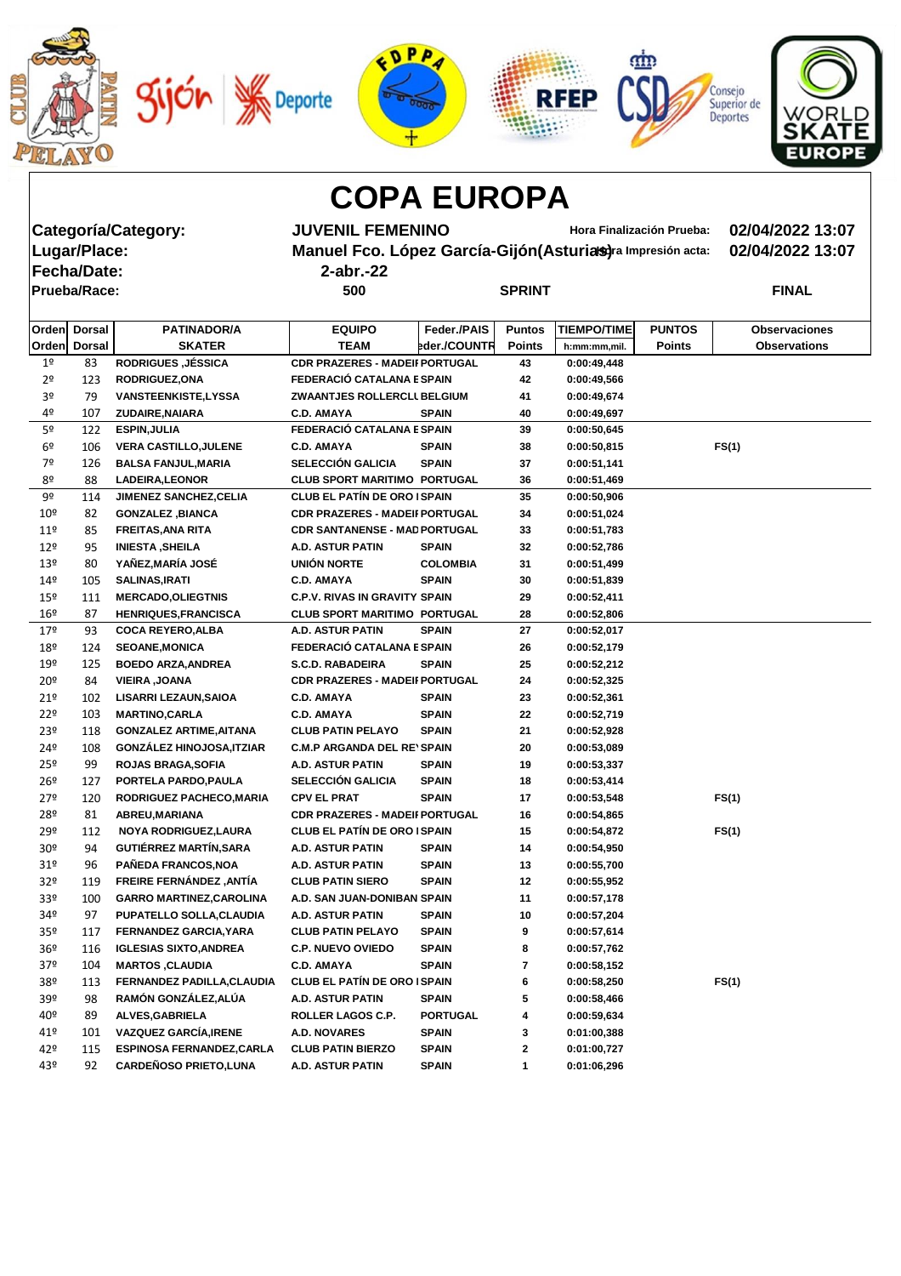|                 |                     |                                                                    | ED<br><b>Deporte</b>                                          |                              |               | <b>RFEP</b>                |                           | Consejo<br>Superior de<br><b>Deportes</b><br>EUROPE |
|-----------------|---------------------|--------------------------------------------------------------------|---------------------------------------------------------------|------------------------------|---------------|----------------------------|---------------------------|-----------------------------------------------------|
|                 |                     |                                                                    | <b>COPA EUROPA</b>                                            |                              |               |                            |                           |                                                     |
|                 |                     | Categoría/Category:                                                | <b>JUVENIL FEMENINO</b>                                       |                              |               |                            | Hora Finalización Prueba: | 02/04/2022 13:07                                    |
|                 | Lugar/Place:        |                                                                    | Manuel Fco. López García-Gijón (Asturias) ra Impresión acta:  |                              |               |                            |                           | 02/04/2022 13:07                                    |
|                 | <b>Fecha/Date:</b>  |                                                                    | $2$ -abr.-22                                                  |                              |               |                            |                           |                                                     |
|                 | <b>Prueba/Race:</b> |                                                                    | 500                                                           |                              | <b>SPRINT</b> |                            |                           | <b>FINAL</b>                                        |
|                 |                     |                                                                    |                                                               |                              |               |                            |                           |                                                     |
| Orden           | <b>Dorsal</b>       | <b>PATINADOR/A</b>                                                 | <b>EQUIPO</b>                                                 | Feder./PAIS                  | <b>Puntos</b> | <b>TIEMPO/TIME</b>         | <b>PUNTOS</b>             | <b>Observaciones</b>                                |
|                 | Orden Dorsal        | <b>SKATER</b>                                                      | <b>TEAM</b>                                                   | eder./COUNTR                 | <b>Points</b> | h:mm:mm,mil.               | <b>Points</b>             | <b>Observations</b>                                 |
| 1 <sup>°</sup>  | 83                  | <b>RODRIGUES, JÉSSICA</b>                                          | <b>CDR PRAZERES - MADEII PORTUGAL</b>                         |                              | 43            | 0:00:49,448                |                           |                                                     |
| 2 <sup>o</sup>  | 123                 | <b>RODRIGUEZ, ONA</b>                                              | FEDERACIÓ CATALANA E SPAIN                                    |                              | 42            | 0:00:49,566                |                           |                                                     |
| 3º              | 79                  | <b>VANSTEENKISTE,LYSSA</b>                                         | <b>ZWAANTJES ROLLERCLI BELGIUM</b>                            |                              | 41            | 0:00:49,674                |                           |                                                     |
| 4º              | 107                 | ZUDAIRE, NAIARA                                                    | <b>C.D. AMAYA</b>                                             | <b>SPAIN</b>                 | 40            | 0:00:49,697                |                           |                                                     |
| 5º              | 122                 | <b>ESPIN, JULIA</b>                                                | FEDERACIÓ CATALANA E SPAIN                                    |                              | 39            | 0:00:50,645                |                           |                                                     |
| 6 <sup>°</sup>  | 106                 | <b>VERA CASTILLO, JULENE</b>                                       | <b>C.D. AMAYA</b>                                             | <b>SPAIN</b>                 | 38            | 0:00:50,815                |                           | FS(1)                                               |
| 7º              | 126                 | <b>BALSA FANJUL, MARIA</b>                                         | <b>SELECCIÓN GALICIA</b>                                      | <b>SPAIN</b>                 | 37            | 0:00:51,141                |                           |                                                     |
| 8º              | 88                  | <b>LADEIRA, LEONOR</b>                                             | <b>CLUB SPORT MARITIMO PORTUGAL</b>                           |                              | 36            | 0:00:51,469                |                           |                                                     |
| 9º              | 114                 | <b>JIMENEZ SANCHEZ, CELIA</b>                                      | <b>CLUB EL PATÍN DE ORO I SPAIN</b>                           |                              | 35            | 0:00:50,906                |                           |                                                     |
| 10 <sup>°</sup> | 82                  | <b>GONZALEZ, BIANCA</b>                                            | <b>CDR PRAZERES - MADEII PORTUGAL</b>                         |                              | 34            | 0:00:51,024                |                           |                                                     |
| 11 <sup>°</sup> | 85                  | <b>FREITAS, ANA RITA</b>                                           | CDR SANTANENSE - MAD PORTUGAL                                 |                              | 33            | 0:00:51,783                |                           |                                                     |
| $12^{\circ}$    | 95                  | <b>INIESTA, SHEILA</b>                                             | A.D. ASTUR PATIN                                              | <b>SPAIN</b>                 | 32            | 0:00:52,786                |                           |                                                     |
| 13 <sup>°</sup> | 80                  | YAÑEZ, MARÍA JOSÉ                                                  | <b>UNIÓN NORTE</b>                                            | <b>COLOMBIA</b>              | 31            | 0:00:51,499                |                           |                                                     |
| 149             | 105                 | <b>SALINAS, IRATI</b>                                              | <b>C.D. AMAYA</b>                                             | <b>SPAIN</b>                 | 30            | 0:00:51,839                |                           |                                                     |
| $15^{\circ}$    | <u> 111</u>         | <b>MERCADO, OLIEGTNIS</b>                                          | <b>C.P.V. RIVAS IN GRAVITY SPAIN</b>                          |                              | 29            | 0:00:52,411                |                           |                                                     |
| 16 <sup>°</sup> | 87                  | <b>HENRIQUES, FRANCISCA</b>                                        | <b>CLUB SPORT MARITIMO PORTUGAL</b>                           |                              | 28            | 0:00:52,806                |                           |                                                     |
| 179             | 93                  | <b>COCA REYERO, ALBA</b>                                           | A.D. ASTUR PATIN                                              | <b>SPAIN</b>                 | 27            | 0:00:52,017                |                           |                                                     |
| 18º             | 124                 | <b>SEOANE, MONICA</b>                                              | FEDERACIÓ CATALANA E SPAIN                                    |                              | 26            | 0:00:52,179                |                           |                                                     |
| 19º             | 125                 | <b>BOEDO ARZA, ANDREA</b>                                          | <b>S.C.D. RABADEIRA</b>                                       | <b>SPAIN</b>                 | 25            | 0:00:52,212                |                           |                                                     |
| 20 <sup>°</sup> | 84                  | <b>VIEIRA, JOANA</b>                                               | <b>CDR PRAZERES - MADEII PORTUGAL</b>                         |                              | 24            | 0:00:52,325                |                           |                                                     |
| 21°             | 102                 | <b>LISARRI LEZAUN, SAIOA</b>                                       | <b>C.D. AMAYA</b>                                             | <b>SPAIN</b>                 | 23            | 0:00:52,361                |                           |                                                     |
| 22 <sup>°</sup> | 103                 | <b>MARTINO, CARLA</b>                                              | <b>C.D. AMAYA</b>                                             | <b>SPAIN</b><br><b>SPAIN</b> | 22            | 0:00:52,719                |                           |                                                     |
| 23º<br>24º      | 118<br>108          | <b>GONZALEZ ARTIME, AITANA</b><br><b>GONZÁLEZ HINOJOSA, ITZIAR</b> | <b>CLUB PATIN PELAYO</b><br><b>C.M.P ARGANDA DEL RE'SPAIN</b> |                              | 21<br>20      | 0:00:52,928<br>0:00:53,089 |                           |                                                     |
| 25º             | 99                  | <b>ROJAS BRAGA, SOFIA</b>                                          | A.D. ASTUR PATIN                                              | <b>SPAIN</b>                 | 19            | 0:00:53,337                |                           |                                                     |
| $26^{\circ}$    | 127                 | PORTELA PARDO, PAULA                                               | <b>SELECCIÓN GALICIA</b>                                      | <b>SPAIN</b>                 | 18            | 0:00:53,414                |                           |                                                     |
| 27 <sup>°</sup> | 120                 | RODRIGUEZ PACHECO, MARIA                                           | <b>CPV EL PRAT</b>                                            | <b>SPAIN</b>                 | 17            | 0:00:53,548                |                           | FS(1)                                               |
| 28º             | 81                  | ABREU, MARIANA                                                     | <b>CDR PRAZERES - MADEII PORTUGAL</b>                         |                              | 16            | 0:00:54,865                |                           |                                                     |
| 29º             | 112                 | NOYA RODRIGUEZ, LAURA                                              | <b>CLUB EL PATÍN DE ORO ISPAIN</b>                            |                              | 15            | 0:00:54,872                |                           | FS(1)                                               |
| 30 <sup>o</sup> | 94                  | <b>GUTIÉRREZ MARTÍN, SARA</b>                                      | A.D. ASTUR PATIN                                              | <b>SPAIN</b>                 | 14            | 0:00:54,950                |                           |                                                     |
| 31 <sup>°</sup> | 96                  | PAÑEDA FRANCOS, NOA                                                | A.D. ASTUR PATIN                                              | <b>SPAIN</b>                 | 13            | 0:00:55,700                |                           |                                                     |
| 32 <sup>o</sup> | 119                 | FREIRE FERNÁNDEZ, ANTÍA                                            | <b>CLUB PATIN SIERO</b>                                       | <b>SPAIN</b>                 | 12            | 0:00:55,952                |                           |                                                     |
| 33º             | 100                 | <b>GARRO MARTINEZ, CAROLINA</b>                                    | A.D. SAN JUAN-DONIBAN SPAIN                                   |                              | 11            | 0:00:57,178                |                           |                                                     |
| 34º             | 97                  | PUPATELLO SOLLA, CLAUDIA                                           | A.D. ASTUR PATIN                                              | <b>SPAIN</b>                 | 10            | 0:00:57,204                |                           |                                                     |
| 35 <sup>°</sup> | 117                 | FERNANDEZ GARCIA, YARA                                             | <b>CLUB PATIN PELAYO</b>                                      | <b>SPAIN</b>                 | 9             | 0:00:57,614                |                           |                                                     |
| 36 <sup>°</sup> | 116                 | <b>IGLESIAS SIXTO, ANDREA</b>                                      | <b>C.P. NUEVO OVIEDO</b>                                      | <b>SPAIN</b>                 | 8             | 0:00:57,762                |                           |                                                     |
| 37º             | 104                 | <b>MARTOS, CLAUDIA</b>                                             | <b>C.D. AMAYA</b>                                             | <b>SPAIN</b>                 | 7             | 0:00:58,152                |                           |                                                     |

38º 113 **FERNANDEZ PADILLA,CLAUDIA CLUB EL PATÍN DE ORO MADRID SPAIN 6 0:00:58,250 FS(1)**

39º 98 **RAMÓN GONZÁLEZ,ALÚA A.D. ASTUR PATIN SPAIN 5 0:00:58,466** 40º 89 **ALVES,GABRIELA ROLLER LAGOS C.P. PORTUGAL 4 0:00:59,634** 41º 101 **VAZQUEZ GARCÍA,IRENE A.D. NOVARES SPAIN 3 0:01:00,388** 42º 115 **ESPINOSA FERNANDEZ,CARLA CLUB PATIN BIERZO SPAIN 2 0:01:00,727** 43º 92 **CARDEÑOSO PRIETO,LUNA A.D. ASTUR PATIN SPAIN 1 0:01:06,296**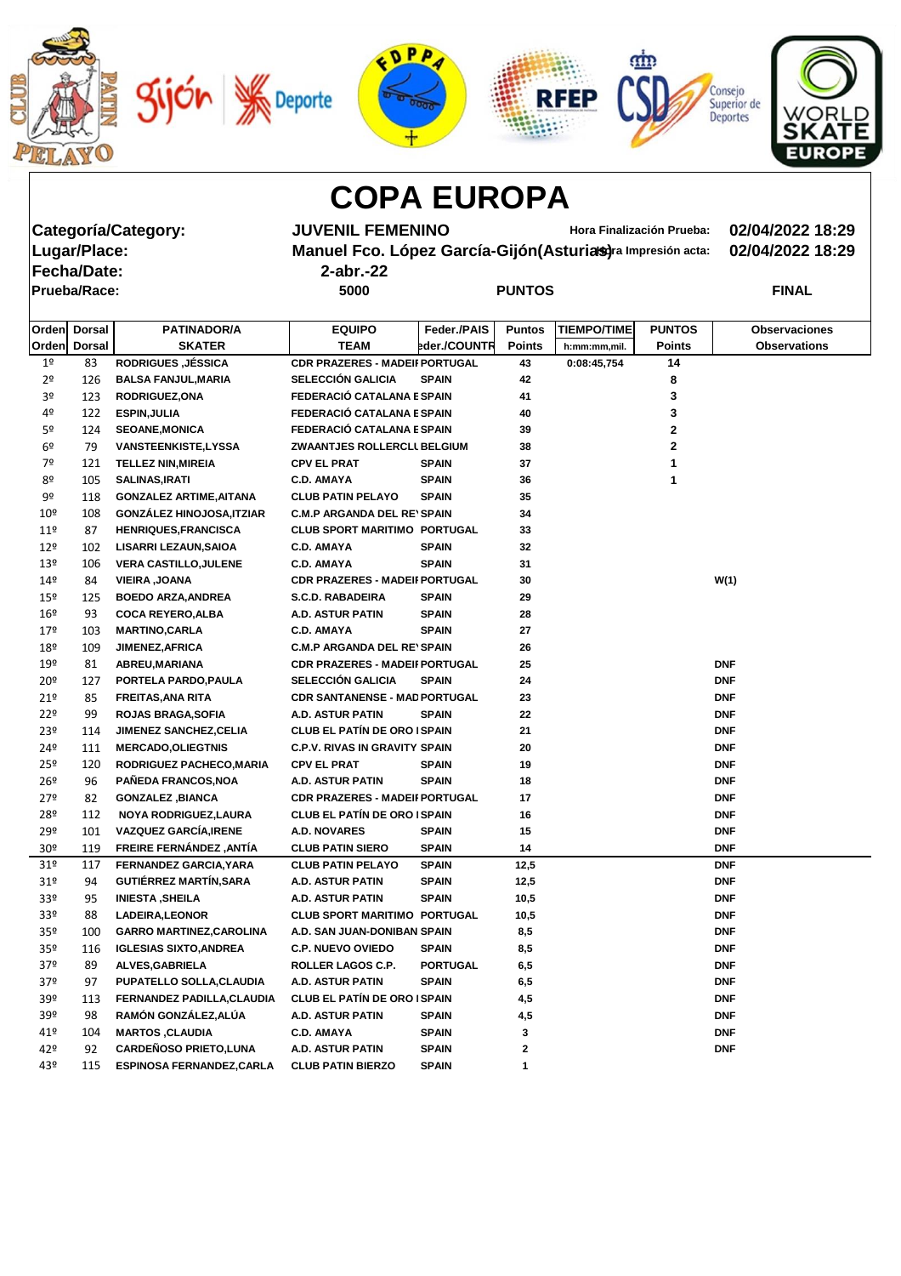









**Fecha/Date: 2-abr.-22**

**Categoría/Category: JUVENIL FEMENINO Hora Finalización Prueba: 02/04/2022 18:29 Manuel Fco. López García-Gijón(Asturias)** ra Impresión acta: 02/04/2022 18:29

| - - - - - - - - - - - - |      |               |              |
|-------------------------|------|---------------|--------------|
| Prueba/Race:            | 5000 | <b>PUNTOS</b> | <b>FINAL</b> |

|                 | Orden Dorsal | <b>PATINADOR/A</b>               | <b>EQUIPO</b>                         | Feder./PAIS     | <b>Puntos</b> | <b>TIEMPO/TIME</b> | <b>PUNTOS</b> | <b>Observaciones</b> |
|-----------------|--------------|----------------------------------|---------------------------------------|-----------------|---------------|--------------------|---------------|----------------------|
|                 | Orden Dorsal | <b>SKATER</b>                    | <b>TEAM</b>                           | eder./COUNTR    | <b>Points</b> | h:mm:mm,mil.       | <b>Points</b> | <b>Observations</b>  |
| 1 <sup>o</sup>  | 83           | <b>RODRIGUES, JÉSSICA</b>        | <b>CDR PRAZERES - MADEII PORTUGAL</b> |                 | 43            | 0:08:45,754        | 14            |                      |
| 2 <sup>o</sup>  | 126          | <b>BALSA FANJUL, MARIA</b>       | <b>SELECCIÓN GALICIA</b>              | <b>SPAIN</b>    | 42            |                    | 8             |                      |
| 3º              | 123          | <b>RODRIGUEZ, ONA</b>            | FEDERACIÓ CATALANA E SPAIN            |                 | 41            |                    | 3             |                      |
| 4º              | 122          | <b>ESPIN, JULIA</b>              | FEDERACIÓ CATALANA E SPAIN            |                 | 40            |                    | 3             |                      |
| 5 <sup>o</sup>  | 124          | <b>SEOANE, MONICA</b>            | FEDERACIÓ CATALANA E SPAIN            |                 | 39            |                    | 2             |                      |
| 6 <sup>o</sup>  | 79           | <b>VANSTEENKISTE,LYSSA</b>       | ZWAANTJES ROLLERCLI BELGIUM           |                 | 38            |                    | $\mathbf 2$   |                      |
| 7º              | 121          | <b>TELLEZ NIN, MIREIA</b>        | <b>CPV EL PRAT</b>                    | <b>SPAIN</b>    | 37            |                    | 1             |                      |
| 8º              | 105          | <b>SALINAS, IRATI</b>            | <b>C.D. AMAYA</b>                     | <b>SPAIN</b>    | 36            |                    | 1             |                      |
| 9º              | 118          | <b>GONZALEZ ARTIME, AITANA</b>   | <b>CLUB PATIN PELAYO</b>              | <b>SPAIN</b>    | 35            |                    |               |                      |
| $10^{\circ}$    | 108          | <b>GONZÁLEZ HINOJOSA, ITZIAR</b> | <b>C.M.P ARGANDA DEL RE'SPAIN</b>     |                 | 34            |                    |               |                      |
| 11 <sup>°</sup> | 87           | <b>HENRIQUES, FRANCISCA</b>      | <b>CLUB SPORT MARITIMO PORTUGAL</b>   |                 | 33            |                    |               |                      |
| $12^{\circ}$    | 102          | <b>LISARRI LEZAUN, SAIOA</b>     | <b>C.D. AMAYA</b>                     | <b>SPAIN</b>    | 32            |                    |               |                      |
| 13 <sup>°</sup> | 106          | <b>VERA CASTILLO, JULENE</b>     | <b>C.D. AMAYA</b>                     | <b>SPAIN</b>    | 31            |                    |               |                      |
| 14 <sup>°</sup> | 84           | <b>VIEIRA, JOANA</b>             | <b>CDR PRAZERES - MADEII PORTUGAL</b> |                 | 30            |                    |               | W(1)                 |
| 15 <sup>°</sup> | 125          | <b>BOEDO ARZA, ANDREA</b>        | <b>S.C.D. RABADEIRA</b>               | <b>SPAIN</b>    | 29            |                    |               |                      |
| 16 <sup>°</sup> | 93           | <b>COCA REYERO, ALBA</b>         | A.D. ASTUR PATIN                      | <b>SPAIN</b>    | 28            |                    |               |                      |
| 179             | 103          | <b>MARTINO, CARLA</b>            | <b>C.D. AMAYA</b>                     | <b>SPAIN</b>    | 27            |                    |               |                      |
| 18º             | 109          | <b>JIMENEZ, AFRICA</b>           | <b>C.M.P ARGANDA DEL RE'SPAIN</b>     |                 | 26            |                    |               |                      |
| 19º             | 81           | ABREU, MARIANA                   | <b>CDR PRAZERES - MADEII PORTUGAL</b> |                 | 25            |                    |               | <b>DNF</b>           |
| 20 <sup>°</sup> | 127          | PORTELA PARDO, PAULA             | <b>SELECCIÓN GALICIA</b>              | <b>SPAIN</b>    | 24            |                    |               | <b>DNF</b>           |
| 21 <sup>°</sup> | 85           | <b>FREITAS, ANA RITA</b>         | <b>CDR SANTANENSE - MAD PORTUGAL</b>  |                 | 23            |                    |               | <b>DNF</b>           |
| 22 <sup>°</sup> | 99           | <b>ROJAS BRAGA, SOFIA</b>        | <b>A.D. ASTUR PATIN</b>               | <b>SPAIN</b>    | 22            |                    |               | <b>DNF</b>           |
| 23º             | 114          | <b>JIMENEZ SANCHEZ, CELIA</b>    | <b>CLUB EL PATÍN DE ORO ISPAIN</b>    |                 | 21            |                    |               | <b>DNF</b>           |
| 24º             | 111          | <b>MERCADO, OLIEGTNIS</b>        | <b>C.P.V. RIVAS IN GRAVITY SPAIN</b>  |                 | 20            |                    |               | <b>DNF</b>           |
| 25º             | 120          | RODRIGUEZ PACHECO, MARIA         | <b>CPV EL PRAT</b>                    | <b>SPAIN</b>    | 19            |                    |               | <b>DNF</b>           |
| 26 <sup>°</sup> | 96           | PAÑEDA FRANCOS, NOA              | <b>A.D. ASTUR PATIN</b>               | <b>SPAIN</b>    | 18            |                    |               | <b>DNF</b>           |
| 27 <sup>°</sup> | 82           | <b>GONZALEZ, BIANCA</b>          | <b>CDR PRAZERES - MADEII PORTUGAL</b> |                 | 17            |                    |               | <b>DNF</b>           |
| 28º             | 112          | NOYA RODRIGUEZ, LAURA            | <b>CLUB EL PATÍN DE ORO ISPAIN</b>    |                 | 16            |                    |               | <b>DNF</b>           |
| 29º             | 101          | <b>VAZQUEZ GARCÍA, IRENE</b>     | A.D. NOVARES                          | <b>SPAIN</b>    | 15            |                    |               | <b>DNF</b>           |
| 30 <sup>°</sup> | 119          | FREIRE FERNÁNDEZ, ANTÍA          | <b>CLUB PATIN SIERO</b>               | <b>SPAIN</b>    | 14            |                    |               | <b>DNF</b>           |
| 31 <sup>o</sup> | 117          | <b>FERNANDEZ GARCIA, YARA</b>    | <b>CLUB PATIN PELAYO</b>              | <b>SPAIN</b>    | 12,5          |                    |               | <b>DNF</b>           |
| 31 <sup>°</sup> | 94           | <b>GUTIÉRREZ MARTÍN, SARA</b>    | A.D. ASTUR PATIN                      | <b>SPAIN</b>    | 12,5          |                    |               | <b>DNF</b>           |
| 33º             | 95           | <b>INIESTA, SHEILA</b>           | A.D. ASTUR PATIN                      | <b>SPAIN</b>    | 10,5          |                    |               | <b>DNF</b>           |
| 33º             | 88           | <b>LADEIRA, LEONOR</b>           | <b>CLUB SPORT MARITIMO PORTUGAL</b>   |                 | 10,5          |                    |               | <b>DNF</b>           |
| 35 <sup>°</sup> | 100          | <b>GARRO MARTINEZ, CAROLINA</b>  | A.D. SAN JUAN-DONIBAN SPAIN           |                 | 8,5           |                    |               | <b>DNF</b>           |
| 35 <sup>°</sup> | 116          | <b>IGLESIAS SIXTO, ANDREA</b>    | <b>C.P. NUEVO OVIEDO</b>              | <b>SPAIN</b>    | 8,5           |                    |               | <b>DNF</b>           |
| 37 <sup>o</sup> | 89           | ALVES, GABRIELA                  | ROLLER LAGOS C.P.                     | <b>PORTUGAL</b> | 6,5           |                    |               | <b>DNF</b>           |
| 37 <sup>°</sup> | 97           | PUPATELLO SOLLA, CLAUDIA         | A.D. ASTUR PATIN                      | <b>SPAIN</b>    | 6,5           |                    |               | <b>DNF</b>           |
| 39º             | 113          | FERNANDEZ PADILLA, CLAUDIA       | <b>CLUB EL PATÍN DE ORO ISPAIN</b>    |                 | 4,5           |                    |               | <b>DNF</b>           |
| 39º             | 98           | RAMÓN GONZÁLEZ, ALÚA             | A.D. ASTUR PATIN                      | <b>SPAIN</b>    | 4,5           |                    |               | <b>DNF</b>           |
| 41º             | 104          | <b>MARTOS, CLAUDIA</b>           | <b>C.D. AMAYA</b>                     | <b>SPAIN</b>    | 3             |                    |               | <b>DNF</b>           |
| 42º             | 92           | <b>CARDEÑOSO PRIETO, LUNA</b>    | A.D. ASTUR PATIN                      | <b>SPAIN</b>    | 2             |                    |               | <b>DNF</b>           |
| 43º             | 115          | <b>ESPINOSA FERNANDEZ, CARLA</b> | <b>CLUB PATIN BIERZO</b>              | <b>SPAIN</b>    | 1             |                    |               |                      |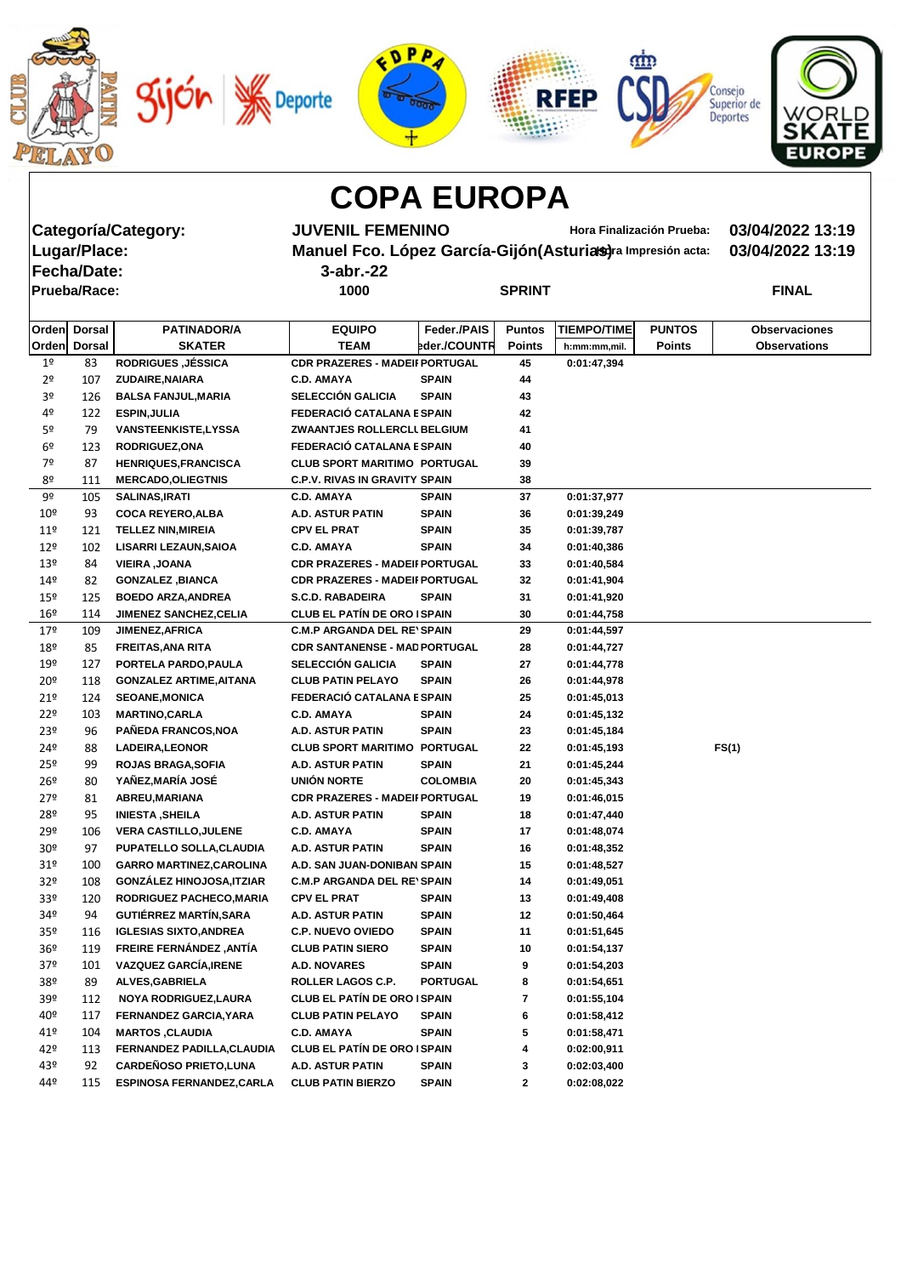







**Fecha/Date: 3-abr.-22**

**Categoría/Category: JUVENIL FEMENINO Hora Finalización Prueba: 03/04/2022 13:19 Manuel Fco. López García-Gijón(Asturias)** ra Impresión acta: 03/04/2022 13:19

| <b>Prueba/Race:</b> | 1000 | <b>SPRINT</b> | <b>FINAL</b> |
|---------------------|------|---------------|--------------|

|                 | Orden Dorsal | <b>PATINADOR/A</b>               | <b>EQUIPO</b>                         | Feder./PAIS     | <b>Puntos</b> | <b>TIEMPO/TIME</b> | <b>PUNTOS</b> | <b>Observaciones</b> |
|-----------------|--------------|----------------------------------|---------------------------------------|-----------------|---------------|--------------------|---------------|----------------------|
|                 | Orden Dorsal | <b>SKATER</b>                    | <b>TEAM</b>                           | eder./COUNTR    | <b>Points</b> | h:mm:mm,mil.       | <b>Points</b> | <b>Observations</b>  |
| 1 <sup>°</sup>  | 83           | <b>RODRIGUES, JÉSSICA</b>        | <b>CDR PRAZERES - MADEII PORTUGAL</b> |                 | 45            | 0:01:47,394        |               |                      |
| 2 <sup>o</sup>  | 107          | ZUDAIRE, NAIARA                  | <b>C.D. AMAYA</b>                     | <b>SPAIN</b>    | 44            |                    |               |                      |
| 3º              | 126          | <b>BALSA FANJUL, MARIA</b>       | <b>SELECCIÓN GALICIA</b>              | <b>SPAIN</b>    | 43            |                    |               |                      |
| 4º              | 122          | <b>ESPIN, JULIA</b>              | FEDERACIÓ CATALANA E SPAIN            |                 | 42            |                    |               |                      |
| 5º              | 79           | <b>VANSTEENKISTE,LYSSA</b>       | ZWAANTJES ROLLERCLI BELGIUM           |                 | 41            |                    |               |                      |
| 6 <sup>o</sup>  | 123          | <b>RODRIGUEZ, ONA</b>            | FEDERACIÓ CATALANA E SPAIN            |                 | 40            |                    |               |                      |
| 7º              | 87           | <b>HENRIQUES, FRANCISCA</b>      | <b>CLUB SPORT MARITIMO PORTUGAL</b>   |                 | 39            |                    |               |                      |
| 8º              | 111          | <b>MERCADO, OLIEGTNIS</b>        | <b>C.P.V. RIVAS IN GRAVITY SPAIN</b>  |                 | 38            |                    |               |                      |
| 9º              | 105          | <b>SALINAS, IRATI</b>            | <b>C.D. AMAYA</b>                     | <b>SPAIN</b>    | 37            | 0:01:37,977        |               |                      |
| 10 <sup>°</sup> | 93           | <b>COCA REYERO, ALBA</b>         | A.D. ASTUR PATIN                      | <b>SPAIN</b>    | 36            | 0:01:39,249        |               |                      |
| $11^{\circ}$    | 121          | <b>TELLEZ NIN, MIREIA</b>        | <b>CPV EL PRAT</b>                    | <b>SPAIN</b>    | 35            | 0:01:39,787        |               |                      |
| 12 <sup>°</sup> | 102          | <b>LISARRI LEZAUN, SAIOA</b>     | <b>C.D. AMAYA</b>                     | <b>SPAIN</b>    | 34            | 0:01:40,386        |               |                      |
| 13 <sup>°</sup> | 84           | <b>VIEIRA, JOANA</b>             | <b>CDR PRAZERES - MADEII PORTUGAL</b> |                 | 33            | 0:01:40,584        |               |                      |
| $14^{\circ}$    | 82           | <b>GONZALEZ, BIANCA</b>          | <b>CDR PRAZERES - MADEII PORTUGAL</b> |                 | 32            | 0:01:41,904        |               |                      |
| $15^{\circ}$    | 125          | <b>BOEDO ARZA, ANDREA</b>        | <b>S.C.D. RABADEIRA</b>               | <b>SPAIN</b>    | 31            | 0:01:41,920        |               |                      |
| 16 <sup>°</sup> | 114          | <b>JIMENEZ SANCHEZ, CELIA</b>    | <b>CLUB EL PATÍN DE ORO ISPAIN</b>    |                 | 30            | 0:01:44,758        |               |                      |
| 179             | 109          | <b>JIMENEZ, AFRICA</b>           | <b>C.M.P ARGANDA DEL RE'SPAIN</b>     |                 | 29            | 0:01:44,597        |               |                      |
| 18º             | 85           | <b>FREITAS, ANA RITA</b>         | <b>CDR SANTANENSE - MAD PORTUGAL</b>  |                 | 28            | 0:01:44,727        |               |                      |
| 19º             | 127          | PORTELA PARDO, PAULA             | <b>SELECCIÓN GALICIA</b>              | <b>SPAIN</b>    | 27            | 0:01:44,778        |               |                      |
| 20º             | 118          | <b>GONZALEZ ARTIME, AITANA</b>   | <b>CLUB PATIN PELAYO</b>              | <b>SPAIN</b>    | 26            | 0:01:44,978        |               |                      |
| 21°             | 124          | <b>SEOANE, MONICA</b>            | FEDERACIÓ CATALANA E SPAIN            |                 | 25            | 0:01:45,013        |               |                      |
| $22^{\circ}$    | 103          | <b>MARTINO, CARLA</b>            | <b>C.D. AMAYA</b>                     | <b>SPAIN</b>    | 24            | 0:01:45,132        |               |                      |
| 23 <sup>°</sup> | 96           | PAÑEDA FRANCOS, NOA              | A.D. ASTUR PATIN                      | <b>SPAIN</b>    | 23            | 0:01:45,184        |               |                      |
| 24º             | 88           | LADEIRA, LEONOR                  | <b>CLUB SPORT MARITIMO PORTUGAL</b>   |                 | 22            | 0:01:45,193        |               | FS(1)                |
| 25º             | 99           | <b>ROJAS BRAGA, SOFIA</b>        | A.D. ASTUR PATIN                      | <b>SPAIN</b>    | 21            | 0:01:45,244        |               |                      |
| $26^{\circ}$    | 80           | YAÑEZ, MARÍA JOSÉ                | <b>UNIÓN NORTE</b>                    | <b>COLOMBIA</b> | 20            | 0:01:45,343        |               |                      |
| $27^{\circ}$    | 81           | ABREU, MARIANA                   | <b>CDR PRAZERES - MADEII PORTUGAL</b> |                 | 19            | 0:01:46,015        |               |                      |
| 28º             | 95           | <b>INIESTA, SHEILA</b>           | A.D. ASTUR PATIN                      | <b>SPAIN</b>    | 18            | 0:01:47,440        |               |                      |
| 29º             | 106          | <b>VERA CASTILLO, JULENE</b>     | <b>C.D. AMAYA</b>                     | <b>SPAIN</b>    | 17            | 0:01:48,074        |               |                      |
| 30 <sup>°</sup> | 97           | <b>PUPATELLO SOLLA, CLAUDIA</b>  | <b>A.D. ASTUR PATIN</b>               | <b>SPAIN</b>    | 16            | 0:01:48,352        |               |                      |
| 31 <sup>o</sup> | 100          | <b>GARRO MARTINEZ, CAROLINA</b>  | A.D. SAN JUAN-DONIBAN SPAIN           |                 | 15            | 0:01:48,527        |               |                      |
| 32 <sup>o</sup> | 108          | <b>GONZÁLEZ HINOJOSA, ITZIAR</b> | <b>C.M.P ARGANDA DEL RE'SPAIN</b>     |                 | 14            | 0:01:49,051        |               |                      |
| 33º             | 120          | RODRIGUEZ PACHECO, MARIA         | <b>CPV EL PRAT</b>                    | <b>SPAIN</b>    | 13            | 0:01:49,408        |               |                      |
| 34º             | 94           | <b>GUTIÉRREZ MARTÍN, SARA</b>    | A.D. ASTUR PATIN                      | <b>SPAIN</b>    | 12            | 0:01:50,464        |               |                      |
| 35 <sup>o</sup> | 116          | <b>IGLESIAS SIXTO, ANDREA</b>    | <b>C.P. NUEVO OVIEDO</b>              | <b>SPAIN</b>    | 11            | 0:01:51,645        |               |                      |
| 36 <sup>°</sup> | 119          | FREIRE FERNÁNDEZ, ANTÍA          | <b>CLUB PATIN SIERO</b>               | <b>SPAIN</b>    | 10            | 0:01:54,137        |               |                      |
| 37 <sup>°</sup> | 101          | <b>VAZQUEZ GARCÍA, IRENE</b>     | <b>A.D. NOVARES</b>                   | <b>SPAIN</b>    | 9             | 0:01:54,203        |               |                      |
| 38º             | 89           | ALVES, GABRIELA                  | ROLLER LAGOS C.P.                     | <b>PORTUGAL</b> | 8             | 0:01:54,651        |               |                      |
| 39º             | 112          | NOYA RODRIGUEZ, LAURA            | <b>CLUB EL PATÍN DE ORO ISPAIN</b>    |                 | 7             | 0:01:55,104        |               |                      |
| 40º             | 117          | FERNANDEZ GARCIA, YARA           | <b>CLUB PATIN PELAYO</b>              | <b>SPAIN</b>    | 6             | 0:01:58,412        |               |                      |
| 41º             | 104          | <b>MARTOS, CLAUDIA</b>           | <b>C.D. AMAYA</b>                     | <b>SPAIN</b>    | 5             | 0:01:58,471        |               |                      |
| 42°             | 113          | FERNANDEZ PADILLA, CLAUDIA       | <b>CLUB EL PATÍN DE ORO ISPAIN</b>    |                 | 4             | 0:02:00,911        |               |                      |
| 43º             | 92           | <b>CARDEÑOSO PRIETO, LUNA</b>    | A.D. ASTUR PATIN                      | <b>SPAIN</b>    | 3             | 0:02:03,400        |               |                      |
| 44º             | 115          | <b>ESPINOSA FERNANDEZ, CARLA</b> | <b>CLUB PATIN BIERZO</b>              | <b>SPAIN</b>    | $\mathbf{2}$  | 0:02:08,022        |               |                      |
|                 |              |                                  |                                       |                 |               |                    |               |                      |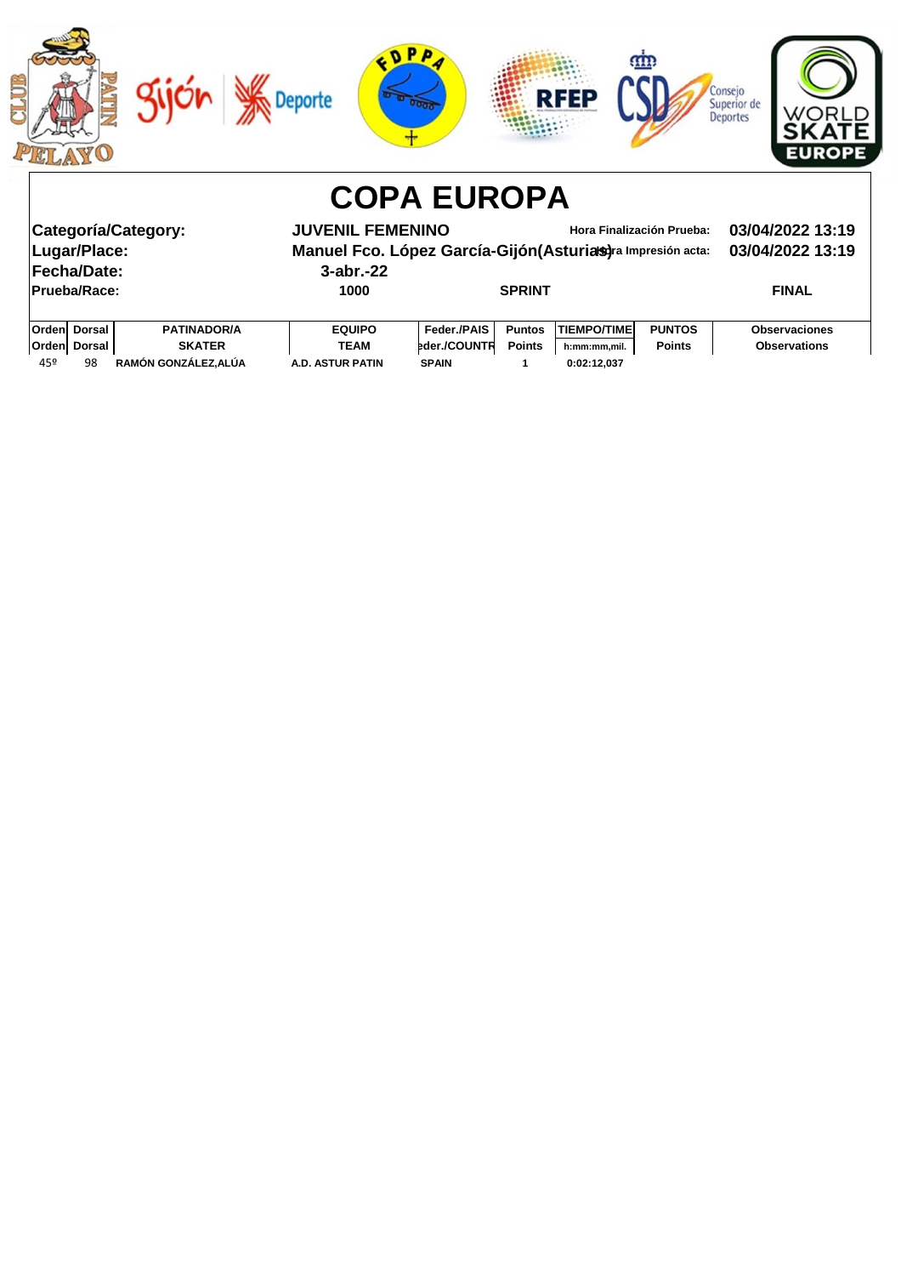

| Categoría/Category:<br>Lugar/Place:<br>Fecha/Date:<br><b>Prueba/Race:</b> |                     |                    | <b>JUVENIL FEMENINO</b><br>Manuel Fco. López García-Gijón (Asturias) ra Impresión acta:<br>$3$ -abr.-22<br>1000 |                    | <b>SPRINT</b> | Hora Finalización Prueba: | 03/04/2022 13:19<br>03/04/2022 13:19<br><b>FINAL</b> |                      |
|---------------------------------------------------------------------------|---------------------|--------------------|-----------------------------------------------------------------------------------------------------------------|--------------------|---------------|---------------------------|------------------------------------------------------|----------------------|
|                                                                           | <b>Orden Dorsal</b> | <b>PATINADOR/A</b> | <b>EQUIPO</b>                                                                                                   | <b>Feder /PAIS</b> | <b>Puntos</b> | <b>TIEMPO/TIME</b>        | <b>PUNTOS</b>                                        | <b>Observaciones</b> |
|                                                                           | Orden Dorsal        | <b>SKATER</b>      | <b>TEAM</b>                                                                                                     | bder./COUNTR       | <b>Points</b> | h:mm:mm.mil.              | <b>Points</b>                                        | <b>Observations</b>  |

45º 98 **RAMÓN GONZÁLEZ,ALÚA A.D. ASTUR PATIN SPAIN 1 0:02:12,037**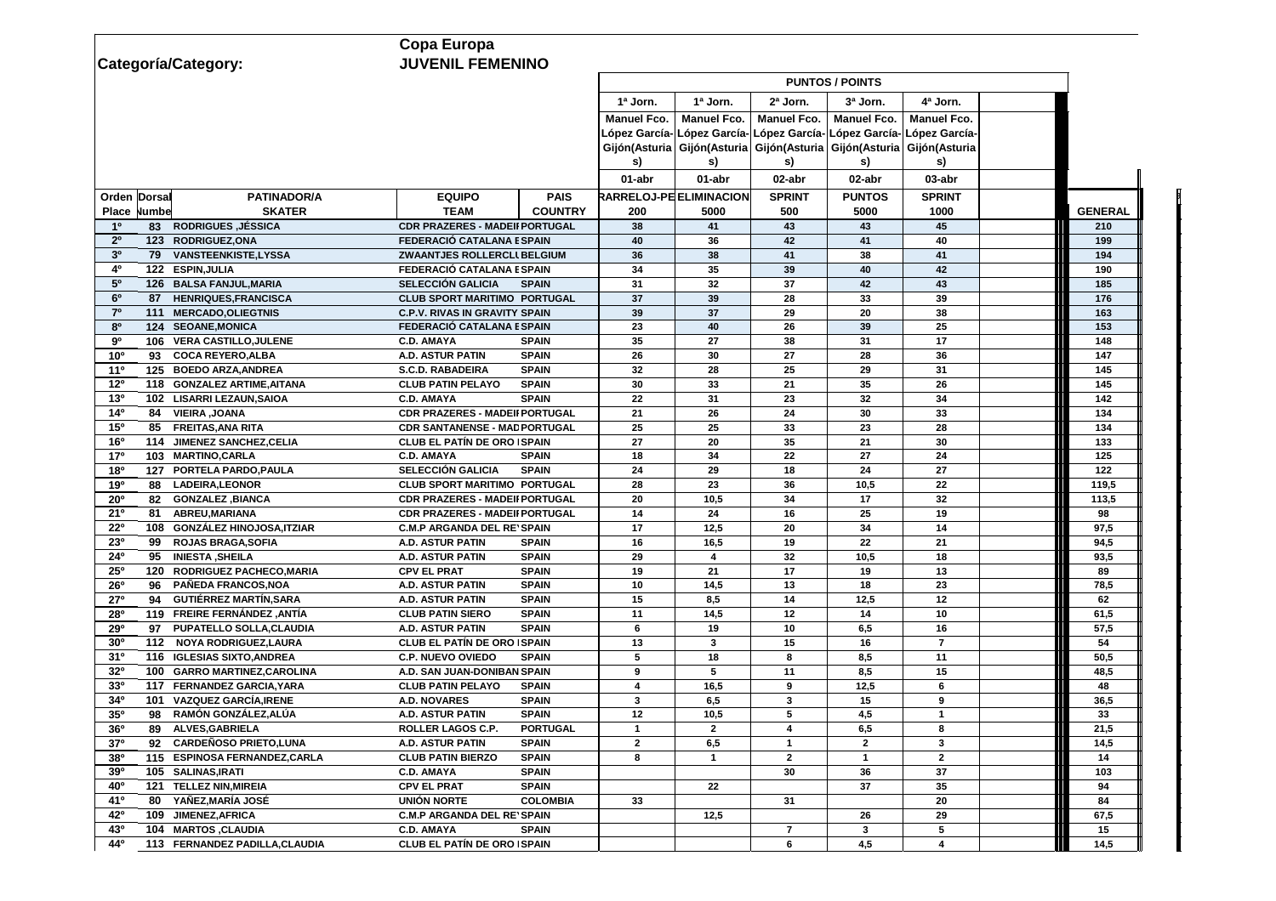|                                                         | <b>Copa Europa</b>                    |                 |                    |                                                                               |                    |                        |                                           |                |  |
|---------------------------------------------------------|---------------------------------------|-----------------|--------------------|-------------------------------------------------------------------------------|--------------------|------------------------|-------------------------------------------|----------------|--|
| Categoría/Category:                                     | <b>JUVENIL FEMENINO</b>               |                 |                    |                                                                               |                    |                        |                                           |                |  |
|                                                         |                                       |                 |                    |                                                                               |                    | <b>PUNTOS / POINTS</b> |                                           |                |  |
|                                                         |                                       |                 | 1ª Jorn.           | 1ª Jorn.                                                                      | 2ª Jorn.           | 3ª Jorn.               | 4ª Jorn.                                  |                |  |
|                                                         |                                       |                 | <b>Manuel Fco.</b> | <b>Manuel Fco.</b>                                                            | <b>Manuel Fco.</b> | <b>Manuel Fco.</b>     | <b>Manuel Fco.</b>                        |                |  |
|                                                         |                                       |                 |                    | López García- López García-                                                   |                    |                        | López García- López García- López García- |                |  |
|                                                         |                                       |                 |                    | Gijón(Asturia   Gijón(Asturia   Gijón(Asturia   Gijón(Asturia   Gijón(Asturia |                    |                        |                                           |                |  |
|                                                         |                                       |                 | S)                 | s)                                                                            | s)                 | s)                     | s)                                        |                |  |
|                                                         |                                       |                 | 01-abr             | 01-abr                                                                        | 02-abr             | 02-abr                 | 03-abr                                    |                |  |
|                                                         |                                       |                 |                    |                                                                               |                    |                        |                                           |                |  |
| <b>PATINADOR/A</b><br><b>Orden Dorsal</b>               | <b>EQUIPO</b>                         | <b>PAIS</b>     |                    | <b>RARRELOJ-PE ELIMINACION</b>                                                | <b>SPRINT</b>      | <b>PUNTOS</b>          | <b>SPRINT</b>                             |                |  |
| <b>SKATER</b><br><b>Place</b><br>Numbe                  | <b>TEAM</b>                           | <b>COUNTRY</b>  | 200                | 5000                                                                          | 500                | 5000                   | 1000                                      | <b>GENERAL</b> |  |
| <b>RODRIGUES ,JÉSSICA</b><br>10<br>83                   | <b>CDR PRAZERES - MADEII PORTUGAL</b> |                 | 38                 | 41                                                                            | 43                 | 43                     | 45                                        | 210            |  |
| 2 <sup>0</sup><br>123 RODRIGUEZ, ONA                    | FEDERACIÓ CATALANA E SPAIN            |                 | 40                 | 36                                                                            | 42                 | 41                     | 40                                        | 199            |  |
| 3 <sup>0</sup><br>79 VANSTEENKISTE,LYSSA                | <b>ZWAANTJES ROLLERCLI BELGIUM</b>    |                 | 36                 | 38                                                                            | 41                 | 38                     | 41                                        | 194            |  |
| 40<br>122 ESPIN, JULIA                                  | <b>FEDERACIÓ CATALANA E SPAIN</b>     |                 | 34                 | 35                                                                            | 39                 | 40                     | 42                                        | 190            |  |
| 5 <sup>0</sup><br>126 BALSA FANJUL, MARIA               | <b>SELECCIÓN GALICIA</b>              | <b>SPAIN</b>    | 31                 | 32                                                                            | 37                 | 42                     | 43                                        | 185            |  |
| 6 <sup>o</sup><br><b>HENRIQUES, FRANCISCA</b><br>87     | <b>CLUB SPORT MARITIMO PORTUGAL</b>   |                 | 37                 | 39                                                                            | 28                 | 33                     | 39                                        | 176            |  |
| 7 <sup>0</sup><br>111 MERCADO, OLIEGTNIS                | <b>C.P.V. RIVAS IN GRAVITY SPAIN</b>  |                 | 39                 | 37                                                                            | 29                 | 20                     | 38                                        | 163            |  |
| 8 <sup>o</sup><br>124 SEOANE, MONICA                    | FEDERACIÓ CATALANA E SPAIN            |                 | 23                 | 40                                                                            | 26                 | 39                     | 25                                        | 153            |  |
| 90<br>106 VERA CASTILLO, JULENE                         | <b>C.D. AMAYA</b>                     | <b>SPAIN</b>    | 35                 | 27                                                                            | 38                 | 31                     | 17                                        | 148            |  |
| 10 <sup>o</sup><br><b>COCA REYERO, ALBA</b><br>93       | <b>A.D. ASTUR PATIN</b>               | <b>SPAIN</b>    | 26                 | 30                                                                            | 27                 | 28                     | 36                                        | 147            |  |
| 11 <sup>0</sup><br><b>BOEDO ARZA, ANDREA</b><br>125     | <b>S.C.D. RABADEIRA</b>               | <b>SPAIN</b>    | 32 <sub>2</sub>    | 28                                                                            | 25                 | 29                     | 31                                        | 145            |  |
| 12 <sup>o</sup><br>118 GONZALEZ ARTIME, AITANA          | <b>CLUB PATIN PELAYO</b>              | <b>SPAIN</b>    | 30                 | 33                                                                            | 21                 | 35                     | 26                                        | 145            |  |
| 13 <sup>0</sup><br>102 LISARRI LEZAUN, SAIOA            | <b>C.D. AMAYA</b>                     | <b>SPAIN</b>    | 22                 | 31                                                                            | 23                 | 32                     | 34                                        | 142            |  |
| 14 <sup>0</sup><br>84 VIEIRA, JOANA                     | <b>CDR PRAZERES - MADEII PORTUGAL</b> |                 | 21                 | 26                                                                            | 24                 | 30                     | 33                                        | 134            |  |
| 15 <sup>o</sup><br>85 FREITAS, ANA RITA                 | <b>CDR SANTANENSE - MAD PORTUGAL</b>  |                 | 25                 | 25                                                                            | 33                 | 23                     | 28                                        | 134            |  |
| 16 <sup>o</sup><br><b>JIMENEZ SANCHEZ, CELIA</b><br>114 | <b>CLUB EL PATÍN DE ORO   SPAIN</b>   |                 | 27                 | 20                                                                            | 35                 | 21                     | 30                                        | 133            |  |
| 17 <sup>o</sup><br>103 MARTINO, CARLA                   | <b>C.D. AMAYA</b>                     | <b>SPAIN</b>    | 18                 | 34                                                                            | 22                 | 27                     | 24                                        | 125            |  |
| 180<br>PORTELA PARDO, PAULA<br>127                      | <b>SELECCIÓN GALICIA</b>              | <b>SPAIN</b>    | 24                 | 29                                                                            | 18                 | 24                     | 27                                        | 122            |  |
| 190<br><b>LADEIRA, LEONOR</b><br>88                     | <b>CLUB SPORT MARITIMO PORTUGAL</b>   |                 | 28                 | 23                                                                            | 36                 | 10,5                   | 22                                        | 119,5          |  |
| 20 <sup>o</sup><br>82 GONZALEZ, BIANCA                  | <b>CDR PRAZERES - MADEII PORTUGAL</b> |                 | 20                 | 10,5                                                                          | 34                 | 17                     | 32                                        | 113,5          |  |
| 21°<br><b>ABREU, MARIANA</b><br>81                      | <b>CDR PRAZERES - MADEII PORTUGAL</b> |                 | 14                 | 24                                                                            | 16                 | 25                     | 19                                        | 98             |  |
| $22^{\circ}$<br>108 GONZÁLEZ HINOJOSA, ITZIAR           | <b>C.M.P ARGANDA DEL RE' SPAIN</b>    |                 | 17                 | 12,5                                                                          | 20                 | 34                     | 14                                        | 97,5           |  |
| <b>23º</b><br><b>ROJAS BRAGA, SOFIA</b><br>99           | A.D. ASTUR PATIN                      | <b>SPAIN</b>    | 16                 | 16,5                                                                          | 19                 | 22                     | 21                                        | 94,5           |  |
| 24 <sup>o</sup><br><b>INIESTA, SHEILA</b><br>95         | <b>A.D. ASTUR PATIN</b>               | <b>SPAIN</b>    | 29                 |                                                                               | 32 <sub>2</sub>    | 10,5                   | 18                                        | 93,5           |  |
| 25°<br>120<br><b>RODRIGUEZ PACHECO, MARIA</b>           | <b>CPV EL PRAT</b>                    | <b>SPAIN</b>    | 19                 | 21                                                                            | 17                 | 19                     | 13                                        | 89             |  |
| PAÑEDA FRANCOS, NOA<br><b>26°</b><br>96                 | <b>A.D. ASTUR PATIN</b>               | <b>SPAIN</b>    | 10                 | 14,5                                                                          | 13                 | 18                     | 23                                        | 78,5           |  |
| <b>GUTIÉRREZ MARTÍN, SARA</b><br>27°<br>94              | <b>A.D. ASTUR PATIN</b>               | <b>SPAIN</b>    | 15                 | 8,5                                                                           | 14                 | 12,5                   | 12                                        | 62             |  |
| 119 FREIRE FERNÁNDEZ, ANTÍA<br><b>28º</b>               | <b>CLUB PATIN SIERO</b>               | <b>SPAIN</b>    | 11                 | 14,5                                                                          | 12                 | 14                     | 10                                        | 61,5           |  |
| 97 PUPATELLO SOLLA, CLAUDIA<br><b>29º</b>               | <b>A.D. ASTUR PATIN</b>               | <b>SPAIN</b>    | 6                  | 19                                                                            | 10                 | 6,5                    | 16                                        | 57,5           |  |
| 30 <sup>o</sup><br>112 NOYA RODRIGUEZ, LAURA            | <b>CLUB EL PATÍN DE ORO SPAIN</b>     |                 | 13                 | 3                                                                             | 15                 | 16                     | $\overline{7}$                            | 54             |  |
| 31 <sup>0</sup><br>116 IGLESIAS SIXTO, ANDREA           | <b>C.P. NUEVO OVIEDO</b>              | <b>SPAIN</b>    | 5                  | 18                                                                            | 8                  | 8,5                    | 11                                        | 50,5           |  |
| 32 <sup>o</sup><br>100 GARRO MARTINEZ, CAROLINA         | A.D. SAN JUAN-DONIBAN SPAIN           |                 | 9                  |                                                                               | 11                 | 8,5                    | 15                                        | 48,5           |  |
| 117 FERNANDEZ GARCIA, YARA<br>33 <sup>0</sup>           | <b>CLUB PATIN PELAYO</b>              | <b>SPAIN</b>    | 4                  | 16,5                                                                          | 9                  | 12,5                   | 6                                         | 48             |  |
| 34°<br><b>VAZQUEZ GARCÍA,IRENE</b><br>101               | <b>A.D. NOVARES</b>                   | <b>SPAIN</b>    | 3                  | 6,5                                                                           | 3                  | 15                     | 9                                         | 36,5           |  |
| 35 <sup>o</sup><br>RAMÓN GONZÁLEZ, ALÚA<br>98           | <b>A.D. ASTUR PATIN</b>               | <b>SPAIN</b>    | 12                 | 10,5                                                                          | 5                  | 4,5                    | $\mathbf{1}$                              | 33             |  |
| 36 <sup>o</sup><br><b>ALVES, GABRIELA</b><br>89         | <b>ROLLER LAGOS C.P.</b>              | <b>PORTUGAL</b> | -1                 | $\mathbf{2}$                                                                  |                    | 6,5                    | 8                                         | 21,5           |  |
| 92 CARDEÑOSO PRIETO, LUNA<br>37 <sup>o</sup>            | <b>A.D. ASTUR PATIN</b>               | <b>SPAIN</b>    | $\mathbf{2}$       | 6,5                                                                           |                    | $\mathbf{2}$           | 3                                         | 14,5           |  |
| 380<br>115 ESPINOSA FERNANDEZ, CARLA                    | <b>CLUB PATIN BIERZO</b>              | <b>SPAIN</b>    | 8                  | -1                                                                            | $\mathbf{2}$       | 1                      | $\overline{2}$                            | 14             |  |
| 105 SALINAS, IRATI<br><b>39°</b>                        | <b>C.D. AMAYA</b>                     | <b>SPAIN</b>    |                    |                                                                               | 30                 | 36                     | 37                                        | 103            |  |
| 40 <sup>o</sup><br>121 TELLEZ NIN, MIREIA               | <b>CPV EL PRAT</b>                    | <b>SPAIN</b>    |                    | 22                                                                            |                    | 37                     | 35                                        | 94             |  |
| 410<br>YAÑEZ,MARÍA JOSÉ<br>80                           | <b>UNIÓN NORTE</b>                    | <b>COLOMBIA</b> | 33                 |                                                                               | 31                 |                        | 20                                        | 84             |  |
| 42°<br>JIMENEZ, AFRICA<br>109                           | <b>C.M.P ARGANDA DEL RE' SPAIN</b>    |                 |                    | 12,5                                                                          |                    | 26                     | 29                                        | 67,5           |  |
| 43°<br>104 MARTOS, CLAUDIA                              | <b>C.D. AMAYA</b>                     | <b>SPAIN</b>    |                    |                                                                               | $\overline{7}$     | 3                      | 5                                         | 15             |  |
| 44 <sup>o</sup><br>113 FERNANDEZ PADILLA, CLAUDIA       | <b>CLUB EL PATÍN DE ORO SPAIN</b>     |                 |                    |                                                                               | 6                  | 4,5                    | 4                                         | 14,5           |  |